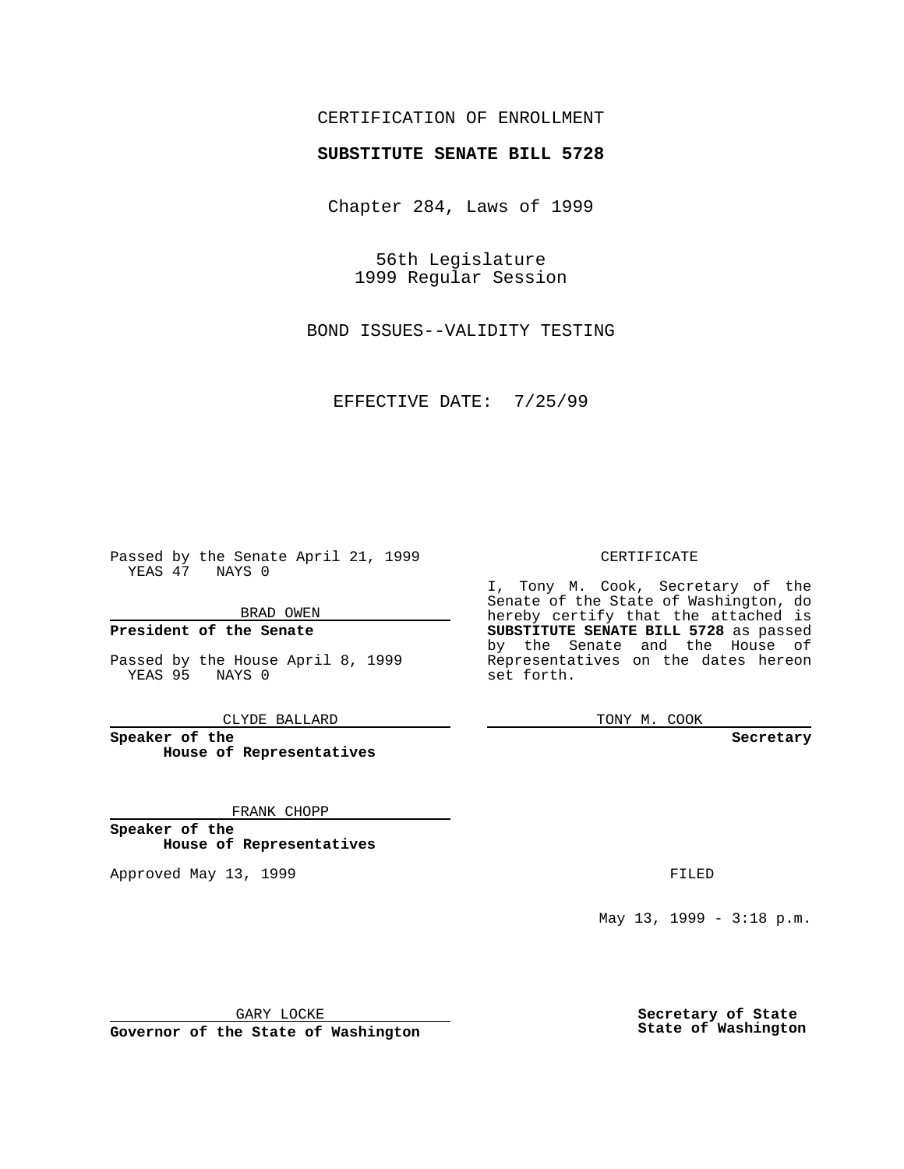## CERTIFICATION OF ENROLLMENT

# **SUBSTITUTE SENATE BILL 5728**

Chapter 284, Laws of 1999

56th Legislature 1999 Regular Session

BOND ISSUES--VALIDITY TESTING

EFFECTIVE DATE: 7/25/99

Passed by the Senate April 21, 1999 YEAS 47 NAYS 0

BRAD OWEN

**President of the Senate**

Passed by the House April 8, 1999 YEAS 95 NAYS 0

CLYDE BALLARD

**Speaker of the House of Representatives**

FRANK CHOPP

**Speaker of the House of Representatives**

Approved May 13, 1999 **FILED** 

### CERTIFICATE

I, Tony M. Cook, Secretary of the Senate of the State of Washington, do hereby certify that the attached is **SUBSTITUTE SENATE BILL 5728** as passed by the Senate and the House of Representatives on the dates hereon set forth.

TONY M. COOK

#### **Secretary**

May 13, 1999 - 3:18 p.m.

GARY LOCKE

**Governor of the State of Washington**

**Secretary of State State of Washington**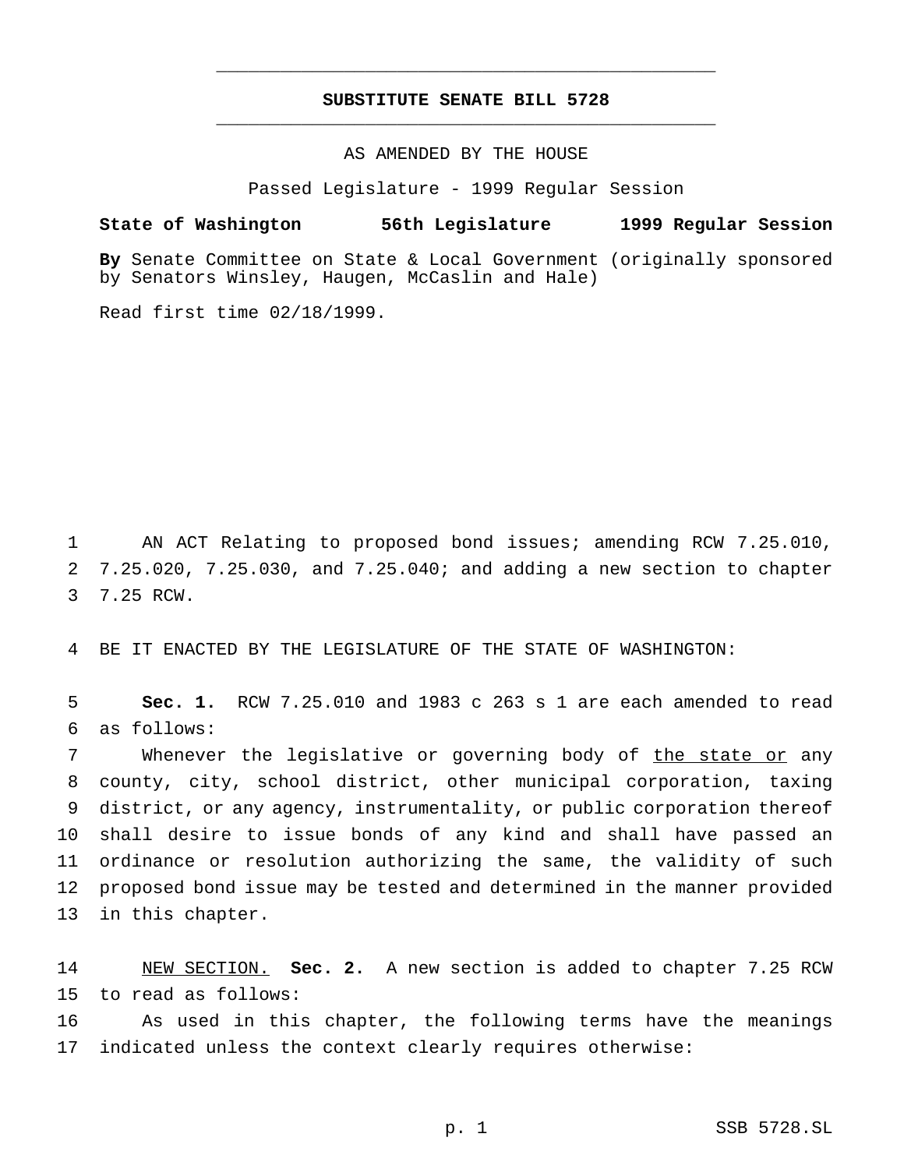## **SUBSTITUTE SENATE BILL 5728** \_\_\_\_\_\_\_\_\_\_\_\_\_\_\_\_\_\_\_\_\_\_\_\_\_\_\_\_\_\_\_\_\_\_\_\_\_\_\_\_\_\_\_\_\_\_\_

\_\_\_\_\_\_\_\_\_\_\_\_\_\_\_\_\_\_\_\_\_\_\_\_\_\_\_\_\_\_\_\_\_\_\_\_\_\_\_\_\_\_\_\_\_\_\_

### AS AMENDED BY THE HOUSE

Passed Legislature - 1999 Regular Session

### **State of Washington 56th Legislature 1999 Regular Session**

**By** Senate Committee on State & Local Government (originally sponsored by Senators Winsley, Haugen, McCaslin and Hale)

Read first time 02/18/1999.

1 AN ACT Relating to proposed bond issues; amending RCW 7.25.010, 2 7.25.020, 7.25.030, and 7.25.040; and adding a new section to chapter 3 7.25 RCW.

4 BE IT ENACTED BY THE LEGISLATURE OF THE STATE OF WASHINGTON:

5 **Sec. 1.** RCW 7.25.010 and 1983 c 263 s 1 are each amended to read 6 as follows:

7 Whenever the legislative or governing body of the state or any county, city, school district, other municipal corporation, taxing district, or any agency, instrumentality, or public corporation thereof shall desire to issue bonds of any kind and shall have passed an ordinance or resolution authorizing the same, the validity of such proposed bond issue may be tested and determined in the manner provided in this chapter.

14 NEW SECTION. **Sec. 2.** A new section is added to chapter 7.25 RCW 15 to read as follows:

16 As used in this chapter, the following terms have the meanings 17 indicated unless the context clearly requires otherwise: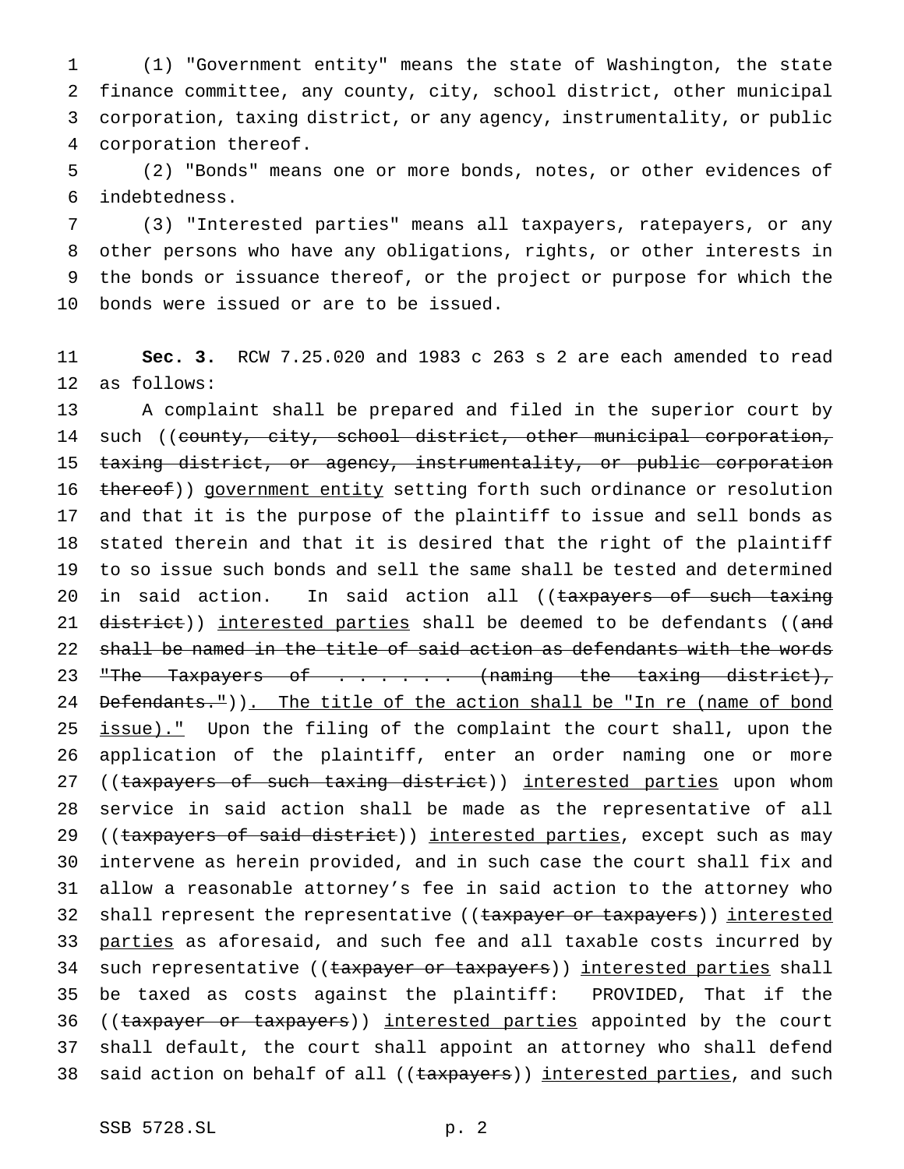(1) "Government entity" means the state of Washington, the state finance committee, any county, city, school district, other municipal corporation, taxing district, or any agency, instrumentality, or public corporation thereof.

 (2) "Bonds" means one or more bonds, notes, or other evidences of indebtedness.

 (3) "Interested parties" means all taxpayers, ratepayers, or any other persons who have any obligations, rights, or other interests in the bonds or issuance thereof, or the project or purpose for which the bonds were issued or are to be issued.

 **Sec. 3.** RCW 7.25.020 and 1983 c 263 s 2 are each amended to read as follows:

 A complaint shall be prepared and filed in the superior court by 14 such ((county, city, school district, other municipal corporation, taxing district, or agency, instrumentality, or public corporation 16 thereof)) government entity setting forth such ordinance or resolution and that it is the purpose of the plaintiff to issue and sell bonds as stated therein and that it is desired that the right of the plaintiff to so issue such bonds and sell the same shall be tested and determined 20 in said action. In said action all ((taxpayers of such taxing 21 district)) interested parties shall be deemed to be defendants ((and shall be named in the title of said action as defendants with the words 23 "The Taxpayers of . . . . . (naming the taxing district), 24 Defendants.")). The title of the action shall be "In re (name of bond 25 issue)." Upon the filing of the complaint the court shall, upon the application of the plaintiff, enter an order naming one or more 27 ((taxpayers of such taxing district)) interested parties upon whom service in said action shall be made as the representative of all 29 ((taxpayers of said district)) interested parties, except such as may intervene as herein provided, and in such case the court shall fix and allow a reasonable attorney's fee in said action to the attorney who 32 shall represent the representative ((taxpayer or taxpayers)) interested 33 parties as aforesaid, and such fee and all taxable costs incurred by 34 such representative ((taxpayer or taxpayers)) interested parties shall be taxed as costs against the plaintiff: PROVIDED, That if the 36 ((taxpayer or taxpayers)) interested parties appointed by the court shall default, the court shall appoint an attorney who shall defend 38 said action on behalf of all ((taxpayers)) interested parties, and such